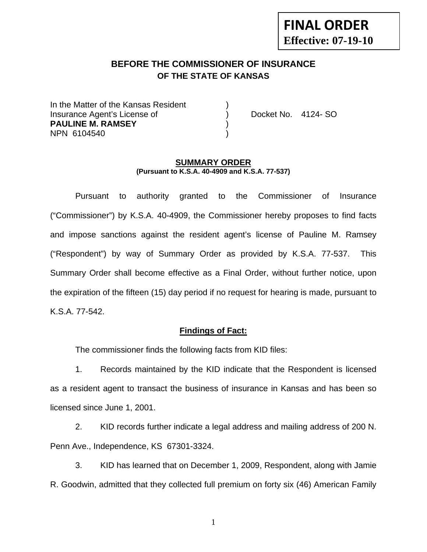# **FINAL ORDER Effective: 07-19-10**

# **BEFORE THE COMMISSIONER OF INSURANCE OF THE STATE OF KANSAS**

In the Matter of the Kansas Resident Insurance Agent's License of ) Docket No. 4124- SO **PAULINE M. RAMSEY** ) NPN 6104540 )

#### **SUMMARY ORDER (Pursuant to K.S.A. 40-4909 and K.S.A. 77-537)**

 Pursuant to authority granted to the Commissioner of Insurance ("Commissioner") by K.S.A. 40-4909, the Commissioner hereby proposes to find facts and impose sanctions against the resident agent's license of Pauline M. Ramsey ("Respondent") by way of Summary Order as provided by K.S.A. 77-537. This Summary Order shall become effective as a Final Order, without further notice, upon the expiration of the fifteen (15) day period if no request for hearing is made, pursuant to K.S.A. 77-542.

#### **Findings of Fact:**

The commissioner finds the following facts from KID files:

 1. Records maintained by the KID indicate that the Respondent is licensed as a resident agent to transact the business of insurance in Kansas and has been so licensed since June 1, 2001.

 2. KID records further indicate a legal address and mailing address of 200 N. Penn Ave., Independence, KS 67301-3324.

 3. KID has learned that on December 1, 2009, Respondent, along with Jamie R. Goodwin, admitted that they collected full premium on forty six (46) American Family

1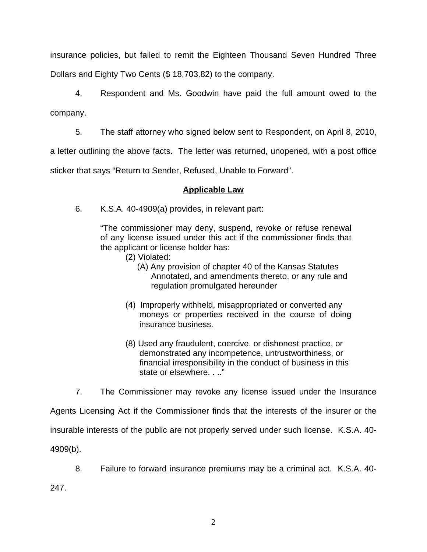insurance policies, but failed to remit the Eighteen Thousand Seven Hundred Three Dollars and Eighty Two Cents (\$ 18,703.82) to the company.

 4. Respondent and Ms. Goodwin have paid the full amount owed to the company.

5. The staff attorney who signed below sent to Respondent, on April 8, 2010,

a letter outlining the above facts. The letter was returned, unopened, with a post office

sticker that says "Return to Sender, Refused, Unable to Forward".

## **Applicable Law**

6. K.S.A. 40-4909(a) provides, in relevant part:

"The commissioner may deny, suspend, revoke or refuse renewal of any license issued under this act if the commissioner finds that the applicant or license holder has:

- (2) Violated:
	- (A) Any provision of chapter 40 of the Kansas Statutes Annotated, and amendments thereto, or any rule and regulation promulgated hereunder
- (4) Improperly withheld, misappropriated or converted any moneys or properties received in the course of doing insurance business.
- (8) Used any fraudulent, coercive, or dishonest practice, or demonstrated any incompetence, untrustworthiness, or financial irresponsibility in the conduct of business in this state or elsewhere. . .."

7. The Commissioner may revoke any license issued under the Insurance

Agents Licensing Act if the Commissioner finds that the interests of the insurer or the insurable interests of the public are not properly served under such license. K.S.A. 40- 4909(b).

8. Failure to forward insurance premiums may be a criminal act. K.S.A. 40-

247.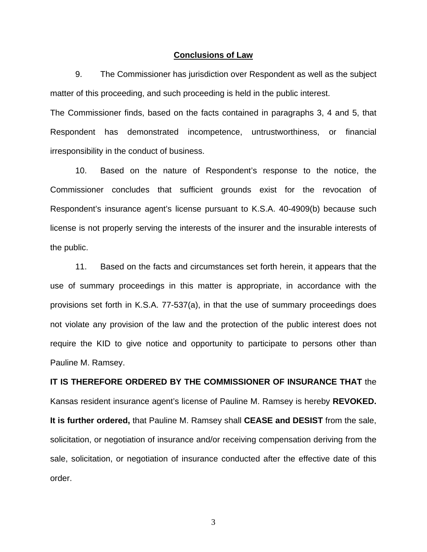#### **Conclusions of Law**

 9. The Commissioner has jurisdiction over Respondent as well as the subject matter of this proceeding, and such proceeding is held in the public interest.

The Commissioner finds, based on the facts contained in paragraphs 3, 4 and 5, that Respondent has demonstrated incompetence, untrustworthiness, or financial irresponsibility in the conduct of business.

 10. Based on the nature of Respondent's response to the notice, the Commissioner concludes that sufficient grounds exist for the revocation of Respondent's insurance agent's license pursuant to K.S.A. 40-4909(b) because such license is not properly serving the interests of the insurer and the insurable interests of the public.

 11. Based on the facts and circumstances set forth herein, it appears that the use of summary proceedings in this matter is appropriate, in accordance with the provisions set forth in K.S.A. 77-537(a), in that the use of summary proceedings does not violate any provision of the law and the protection of the public interest does not require the KID to give notice and opportunity to participate to persons other than Pauline M. Ramsey.

**IT IS THEREFORE ORDERED BY THE COMMISSIONER OF INSURANCE THAT** the Kansas resident insurance agent's license of Pauline M. Ramsey is hereby **REVOKED. It is further ordered,** that Pauline M. Ramsey shall **CEASE and DESIST** from the sale, solicitation, or negotiation of insurance and/or receiving compensation deriving from the sale, solicitation, or negotiation of insurance conducted after the effective date of this order.

3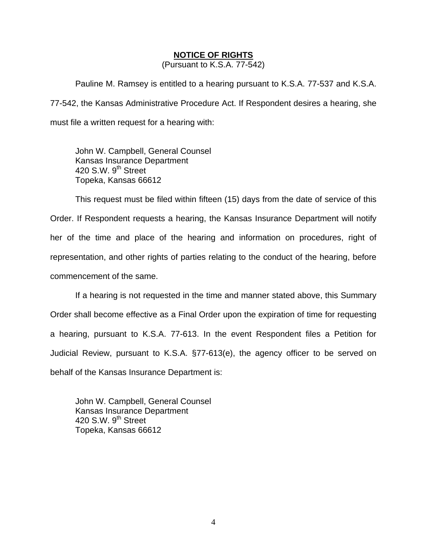### **NOTICE OF RIGHTS**

(Pursuant to K.S.A. 77-542)

Pauline M. Ramsey is entitled to a hearing pursuant to K.S.A. 77-537 and K.S.A. 77-542, the Kansas Administrative Procedure Act. If Respondent desires a hearing, she must file a written request for a hearing with:

 John W. Campbell, General Counsel Kansas Insurance Department 420 S.W. 9<sup>th</sup> Street Topeka, Kansas 66612

This request must be filed within fifteen (15) days from the date of service of this Order. If Respondent requests a hearing, the Kansas Insurance Department will notify her of the time and place of the hearing and information on procedures, right of representation, and other rights of parties relating to the conduct of the hearing, before commencement of the same.

If a hearing is not requested in the time and manner stated above, this Summary Order shall become effective as a Final Order upon the expiration of time for requesting a hearing, pursuant to K.S.A. 77-613. In the event Respondent files a Petition for Judicial Review, pursuant to K.S.A. §77-613(e), the agency officer to be served on behalf of the Kansas Insurance Department is:

 John W. Campbell, General Counsel Kansas Insurance Department 420 S.W.  $9<sup>th</sup>$  Street Topeka, Kansas 66612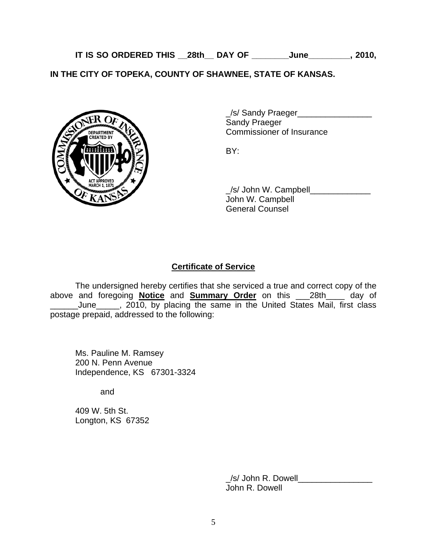**IT IS SO ORDERED THIS \_\_28th\_\_ DAY OF \_\_\_\_\_\_\_\_June\_\_\_\_\_\_\_\_\_, 2010,** 

**IN THE CITY OF TOPEKA, COUNTY OF SHAWNEE, STATE OF KANSAS.** 



\_/s/ Sandy Praeger\_\_\_\_\_\_\_\_\_\_\_\_\_\_\_\_ Sandy Praeger EPARTMENT VAN COMMISSIONER Of Insurance

 \_/s/ John W. Campbell\_\_\_\_\_\_\_\_\_\_\_\_\_ John W. Campbell General Counsel

## **Certificate of Service**

 The undersigned hereby certifies that she serviced a true and correct copy of the above and foregoing **Notice** and **Summary Order** on this \_\_\_28th\_\_\_\_ day of  $\_$ June $\_$ , 2010, by placing the same in the United States Mail, first class postage prepaid, addressed to the following:

 Ms. Pauline M. Ramsey 200 N. Penn Avenue Independence, KS 67301-3324

and

 409 W. 5th St. Longton, KS 67352

> \_/s/ John R. Dowell\_\_\_\_\_\_\_\_\_\_\_\_\_\_\_\_ John R. Dowell